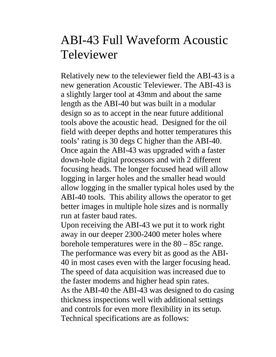## ABI-43 Full Waveform Acoustic Televiewer

Relatively new to the televiewer field the ABI-43 is a new generation Acoustic Televiewer. The ABI-43 is a slightly larger tool at 43mm and about the same length as the ABI-40 but was built in a modular design so as to accept in the near future additional tools above the acoustic head. Designed for the oil field with deeper depths and hotter temperatures this tools' rating is 30 degs C higher than the ABI-40. Once again the ABI-43 was upgraded with a faster down-hole digital processors and with 2 different focusing heads. The longer focused head will allow logging in larger holes and the smaller head would allow logging in the smaller typical holes used by the ABI-40 tools. This ability allows the operator to get better images in multiple hole sizes and is normally run at faster baud rates.

Upon receiving the ABI-43 we put it to work right away in our deeper 2300-2400 meter holes where borehole temperatures were in the 80 – 85c range. The performance was every bit as good as the ABI-40 in most cases even with the larger focusing head. The speed of data acquisition was increased due to the faster modems and higher head spin rates. As the ABI-40 the ABI-43 was designed to do casing thickness inspections well with additional settings and controls for even more flexibility in its setup. Technical specifications are as follows: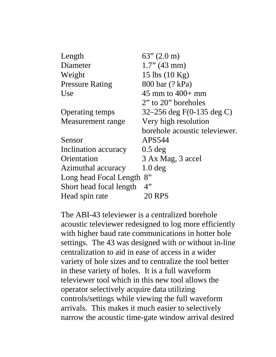| Length                  | $63''(2.0 \text{ m})$         |
|-------------------------|-------------------------------|
| Diameter                | $1.7$ " (43 mm)               |
| Weight                  | 15 lbs $(10 \text{ Kg})$      |
| <b>Pressure Rating</b>  | 800 bar (? kPa)               |
| Use                     | 45 mm to $400+$ mm            |
|                         | $2$ " to $20$ " boreholes     |
| <b>Operating temps</b>  | $32-256$ deg F(0-135 deg C)   |
| Measurement range       | Very high resolution          |
|                         | borehole acoustic televiewer. |
| Sensor                  | APS544                        |
| Inclination accuracy    | $0.5$ deg                     |
| Orientation             | 3 Ax Mag, 3 accel             |
| Azimuthal accuracy      | $1.0$ deg                     |
| Long head Focal Length  | 8"                            |
| Short head focal length | 4"                            |
| Head spin rate          | 20 RPS                        |
|                         |                               |

The ABI-43 televiewer is a centralized borehole acoustic televiewer redesigned to log more efficiently with higher baud rate communications in hotter hole settings. The 43 was designed with or without in-line centralization to aid in ease of access in a wider variety of hole sizes and to centralize the tool better in these variety of holes. It is a full waveform televiewer tool which in this new tool allows the operator selectively acquire data utilizing controls/settings while viewing the full waveform arrivals. This makes it much easier to selectively narrow the acoustic time-gate window arrival desired